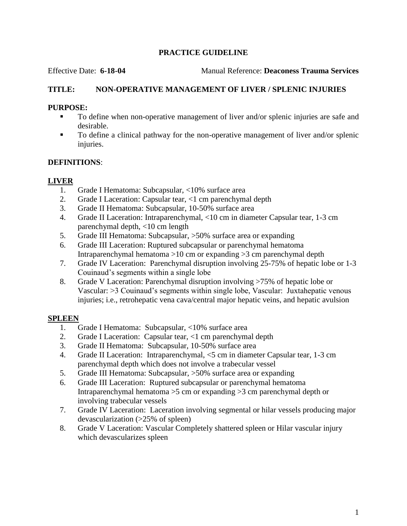# **PRACTICE GUIDELINE**

Effective Date: **6-18-04** Manual Reference: **Deaconess Trauma Services**

### **TITLE: NON-OPERATIVE MANAGEMENT OF LIVER / SPLENIC INJURIES**

#### **PURPOSE:**

- To define when non-operative management of liver and/or splenic injuries are safe and desirable.
- To define a clinical pathway for the non-operative management of liver and/or splenic injuries.

# **DEFINITIONS**:

# **LIVER**

- 1. Grade I Hematoma: Subcapsular, <10% surface area
- 2. Grade I Laceration: Capsular tear, <1 cm parenchymal depth
- 3. Grade II Hematoma: Subcapsular, 10-50% surface area
- 4. Grade II Laceration: Intraparenchymal, <10 cm in diameter Capsular tear, 1-3 cm parenchymal depth, <10 cm length
- 5. Grade III Hematoma: Subcapsular, >50% surface area or expanding
- 6. Grade III Laceration: Ruptured subcapsular or parenchymal hematoma Intraparenchymal hematoma >10 cm or expanding >3 cm parenchymal depth
- 7. Grade IV Laceration: Parenchymal disruption involving 25-75% of hepatic lobe or 1-3 Couinaud's segments within a single lobe
- 8. Grade V Laceration: Parenchymal disruption involving >75% of hepatic lobe or Vascular: >3 Couinaud's segments within single lobe, Vascular: Juxtahepatic venous injuries; i.e., retrohepatic vena cava/central major hepatic veins, and hepatic avulsion

# **SPLEEN**

- 1. Grade I Hematoma: Subcapsular, <10% surface area
- 2. Grade I Laceration: Capsular tear, <1 cm parenchymal depth
- 3. Grade II Hematoma: Subcapsular, 10-50% surface area
- 4. Grade II Laceration: Intraparenchymal, <5 cm in diameter Capsular tear, 1-3 cm parenchymal depth which does not involve a trabecular vessel
- 5. Grade III Hematoma: Subcapsular, >50% surface area or expanding
- 6. Grade III Laceration: Ruptured subcapsular or parenchymal hematoma Intraparenchymal hematoma >5 cm or expanding >3 cm parenchymal depth or involving trabecular vessels
- 7. Grade IV Laceration: Laceration involving segmental or hilar vessels producing major devascularization (>25% of spleen)
- 8. Grade V Laceration: Vascular Completely shattered spleen or Hilar vascular injury which devascularizes spleen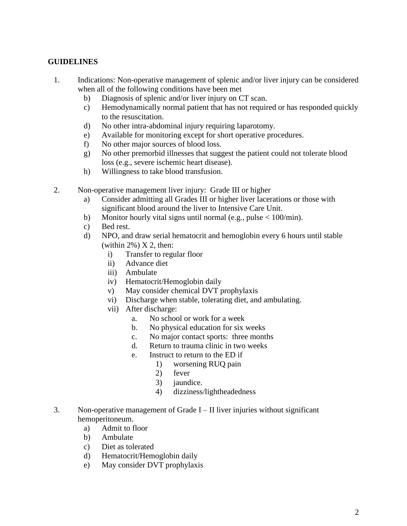#### **GUIDELINES**

- 1. Indications: Non-operative management of splenic and/or liver injury can be considered when all of the following conditions have been met
	- b) Diagnosis of splenic and/or liver injury on CT scan.
	- c) Hemodynamically normal patient that has not required or has responded quickly to the resuscitation.
	- d) No other intra-abdominal injury requiring laparotomy.
	- e) Available for monitoring except for short operative procedures.
	- f) No other major sources of blood loss.
	- g) No other premorbid illnesses that suggest the patient could not tolerate blood loss (e.g., severe ischemic heart disease).
	- h) Willingness to take blood transfusion.
- 2. Non-operative management liver injury: Grade III or higher
	- a) Consider admitting all Grades III or higher liver lacerations or those with significant blood around the liver to Intensive Care Unit.
	- b) Monitor hourly vital signs until normal (e.g., pulse  $< 100$ /min).
	- c) Bed rest.
	- d) NPO, and draw serial hematocrit and hemoglobin every 6 hours until stable (within  $2\%$ ) X 2, then:
		- i) Transfer to regular floor
		- ii) Advance diet
		- iii) Ambulate
		- iv) Hematocrit/Hemoglobin daily
		- v) May consider chemical DVT prophylaxis
		- vi) Discharge when stable, tolerating diet, and ambulating.
		- vii) After discharge:
			- a. No school or work for a week
			- b. No physical education for six weeks
			- c. No major contact sports: three months
			- d. Return to trauma clinic in two weeks
			- e. Instruct to return to the ED if
				- 1) worsening RUQ pain
				- 2) fever
				- 3) jaundice.
				- 4) dizziness/lightheadedness
- 3. Non-operative management of Grade  $I II$  liver injuries without significant hemoperitoneum.
	- a) Admit to floor
	- b) Ambulate
	- c) Diet as tolerated
	- d) Hematocrit/Hemoglobin daily
	- e) May consider DVT prophylaxis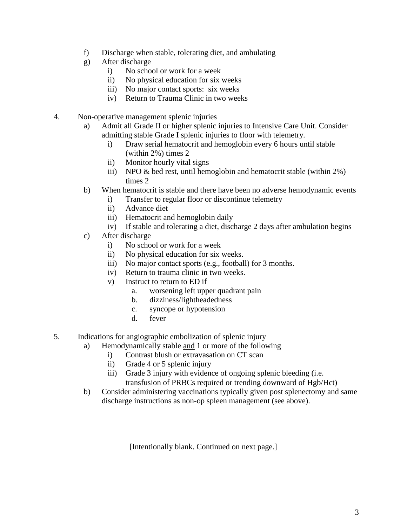- f) Discharge when stable, tolerating diet, and ambulating
- g) After discharge
	- i) No school or work for a week
	- ii) No physical education for six weeks
	- iii) No major contact sports: six weeks
	- iv) Return to Trauma Clinic in two weeks
- 4. Non-operative management splenic injuries
	- a) Admit all Grade II or higher splenic injuries to Intensive Care Unit. Consider admitting stable Grade I splenic injuries to floor with telemetry.
		- i) Draw serial hematocrit and hemoglobin every 6 hours until stable (within 2%) times 2
		- ii) Monitor hourly vital signs
		- iii) NPO & bed rest, until hemoglobin and hematocrit stable (within 2%) times 2
	- b) When hematocrit is stable and there have been no adverse hemodynamic events
		- i) Transfer to regular floor or discontinue telemetry
		- ii) Advance diet
		- iii) Hematocrit and hemoglobin daily
		- iv) If stable and tolerating a diet, discharge 2 days after ambulation begins
	- c) After discharge
		- i) No school or work for a week
		- ii) No physical education for six weeks.
		- iii) No major contact sports (e.g., football) for 3 months.
		- iv) Return to trauma clinic in two weeks.
		- v) Instruct to return to ED if
			- a. worsening left upper quadrant pain
			- b. dizziness/lightheadedness
			- c. syncope or hypotension
			- d. fever
- 5. Indications for angiographic embolization of splenic injury
	- a) Hemodynamically stable and 1 or more of the following
		- i) Contrast blush or extravasation on CT scan
		- ii) Grade 4 or 5 splenic injury
		- iii) Grade 3 injury with evidence of ongoing splenic bleeding (i.e. transfusion of PRBCs required or trending downward of Hgb/Hct)
	- b) Consider administering vaccinations typically given post splenectomy and same discharge instructions as non-op spleen management (see above).

[Intentionally blank. Continued on next page.]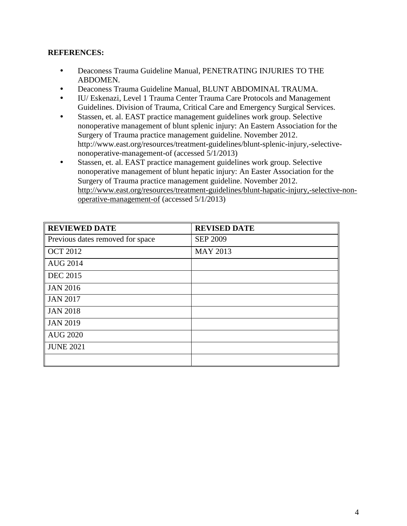# **REFERENCES:**

- Deaconess Trauma Guideline Manual, PENETRATING INJURIES TO THE ABDOMEN.
- Deaconess Trauma Guideline Manual, BLUNT ABDOMINAL TRAUMA.
- IU/ Eskenazi, Level 1 Trauma Center Trauma Care Protocols and Management Guidelines. Division of Trauma, Critical Care and Emergency Surgical Services.
- Stassen, et. al. EAST practice management guidelines work group. Selective nonoperative management of blunt splenic injury: An Eastern Association for the Surgery of Trauma practice management guideline. November 2012. http://www.east.org/resources/treatment-guidelines/blunt-splenic-injury,-selectivenonoperative-management-of (accessed 5/1/2013)
- Stassen, et. al. EAST practice management guidelines work group. Selective nonoperative management of blunt hepatic injury: An Easter Association for the Surgery of Trauma practice management guideline. November 2012. [http://www.east.org/resources/treatment-guidelines/blunt-hapatic-injury,-selective-non](http://www.east.org/resources/treatment-guidelines/blunt-hapatic-injury,-selective-non-operative-management-of)[operative-management-of](http://www.east.org/resources/treatment-guidelines/blunt-hapatic-injury,-selective-non-operative-management-of) (accessed 5/1/2013)

| <b>REVIEWED DATE</b>             | <b>REVISED DATE</b> |
|----------------------------------|---------------------|
| Previous dates removed for space | <b>SEP 2009</b>     |
| <b>OCT 2012</b>                  | <b>MAY 2013</b>     |
| <b>AUG 2014</b>                  |                     |
| <b>DEC</b> 2015                  |                     |
| JAN 2016                         |                     |
| <b>JAN 2017</b>                  |                     |
| JAN 2018                         |                     |
| <b>JAN 2019</b>                  |                     |
| <b>AUG 2020</b>                  |                     |
| <b>JUNE 2021</b>                 |                     |
|                                  |                     |